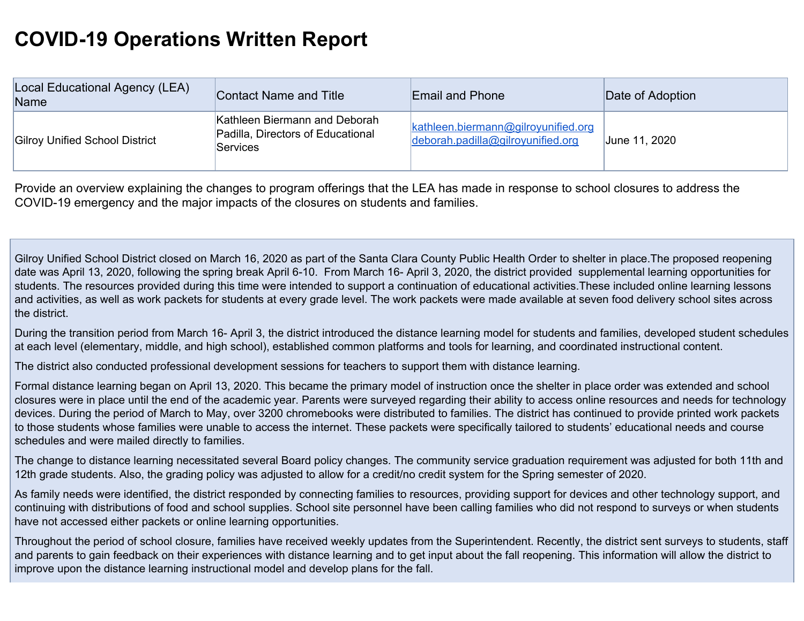## **COVID-19 Operations Written Report**

| Local Educational Agency (LEA)<br>Name | Contact Name and Title                                                                | <b>Email and Phone</b>                                                   | Date of Adoption |
|----------------------------------------|---------------------------------------------------------------------------------------|--------------------------------------------------------------------------|------------------|
| <b>Gilroy Unified School District</b>  | Kathleen Biermann and Deborah<br>Padilla, Directors of Educational<br><b>Services</b> | kathleen.biermann@gilroyunified.org<br>deborah.padilla@gilroyunified.org | June 11, 2020    |

Provide an overview explaining the changes to program offerings that the LEA has made in response to school closures to address the COVID-19 emergency and the major impacts of the closures on students and families.

Gilroy Unified School District closed on March 16, 2020 as part of the Santa Clara County Public Health Order to shelter in place.The proposed reopening date was April 13, 2020, following the spring break April 6-10. From March 16- April 3, 2020, the district provided supplemental learning opportunities for students. The resources provided during this time were intended to support a continuation of educational activities.These included online learning lessons and activities, as well as work packets for students at every grade level. The work packets were made available at seven food delivery school sites across the district.

During the transition period from March 16- April 3, the district introduced the distance learning model for students and families, developed student schedules at each level (elementary, middle, and high school), established common platforms and tools for learning, and coordinated instructional content.

The district also conducted professional development sessions for teachers to support them with distance learning.

Formal distance learning began on April 13, 2020. This became the primary model of instruction once the shelter in place order was extended and school closures were in place until the end of the academic year. Parents were surveyed regarding their ability to access online resources and needs for technology devices. During the period of March to May, over 3200 chromebooks were distributed to families. The district has continued to provide printed work packets to those students whose families were unable to access the internet. These packets were specifically tailored to students' educational needs and course schedules and were mailed directly to families.

The change to distance learning necessitated several Board policy changes. The community service graduation requirement was adjusted for both 11th and 12th grade students. Also, the grading policy was adjusted to allow for a credit/no credit system for the Spring semester of 2020.

As family needs were identified, the district responded by connecting families to resources, providing support for devices and other technology support, and continuing with distributions of food and school supplies. School site personnel have been calling families who did not respond to surveys or when students have not accessed either packets or online learning opportunities.

Throughout the period of school closure, families have received weekly updates from the Superintendent. Recently, the district sent surveys to students, staff and parents to gain feedback on their experiences with distance learning and to get input about the fall reopening. This information will allow the district to improve upon the distance learning instructional model and develop plans for the fall.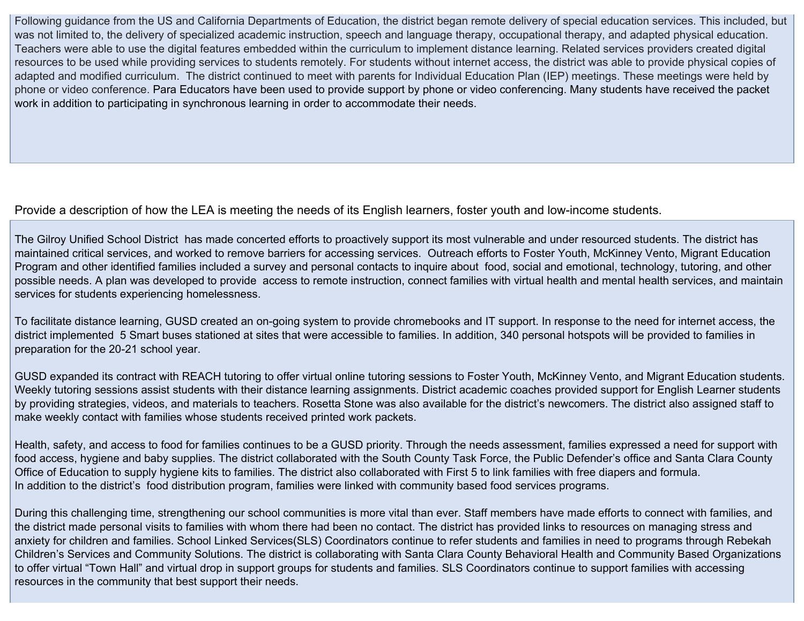Following guidance from the US and California Departments of Education, the district began remote delivery of special education services. This included, but was not limited to, the delivery of specialized academic instruction, speech and language therapy, occupational therapy, and adapted physical education. Teachers were able to use the digital features embedded within the curriculum to implement distance learning. Related services providers created digital resources to be used while providing services to students remotely. For students without internet access, the district was able to provide physical copies of adapted and modified curriculum. The district continued to meet with parents for Individual Education Plan (IEP) meetings. These meetings were held by phone or video conference. Para Educators have been used to provide support by phone or video conferencing. Many students have received the packet work in addition to participating in synchronous learning in order to accommodate their needs.

## Provide a description of how the LEA is meeting the needs of its English learners, foster youth and low-income students.

The Gilroy Unified School District has made concerted efforts to proactively support its most vulnerable and under resourced students. The district has maintained critical services, and worked to remove barriers for accessing services. Outreach efforts to Foster Youth, McKinney Vento, Migrant Education Program and other identified families included a survey and personal contacts to inquire about food, social and emotional, technology, tutoring, and other possible needs. A plan was developed to provide access to remote instruction, connect families with virtual health and mental health services, and maintain services for students experiencing homelessness.

To facilitate distance learning, GUSD created an on-going system to provide chromebooks and IT support. In response to the need for internet access, the district implemented 5 Smart buses stationed at sites that were accessible to families. In addition, 340 personal hotspots will be provided to families in preparation for the 20-21 school year.

GUSD expanded its contract with REACH tutoring to offer virtual online tutoring sessions to Foster Youth, McKinney Vento, and Migrant Education students. Weekly tutoring sessions assist students with their distance learning assignments. District academic coaches provided support for English Learner students by providing strategies, videos, and materials to teachers. Rosetta Stone was also available for the district's newcomers. The district also assigned staff to make weekly contact with families whose students received printed work packets.

Health, safety, and access to food for families continues to be a GUSD priority. Through the needs assessment, families expressed a need for support with food access, hygiene and baby supplies. The district collaborated with the South County Task Force, the Public Defender's office and Santa Clara County Office of Education to supply hygiene kits to families. The district also collaborated with First 5 to link families with free diapers and formula. In addition to the district's food distribution program, families were linked with community based food services programs.

During this challenging time, strengthening our school communities is more vital than ever. Staff members have made efforts to connect with families, and the district made personal visits to families with whom there had been no contact. The district has provided links to resources on managing stress and anxiety for children and families. School Linked Services(SLS) Coordinators continue to refer students and families in need to programs through Rebekah Children's Services and Community Solutions. The district is collaborating with Santa Clara County Behavioral Health and Community Based Organizations to offer virtual "Town Hall" and virtual drop in support groups for students and families. SLS Coordinators continue to support families with accessing resources in the community that best support their needs.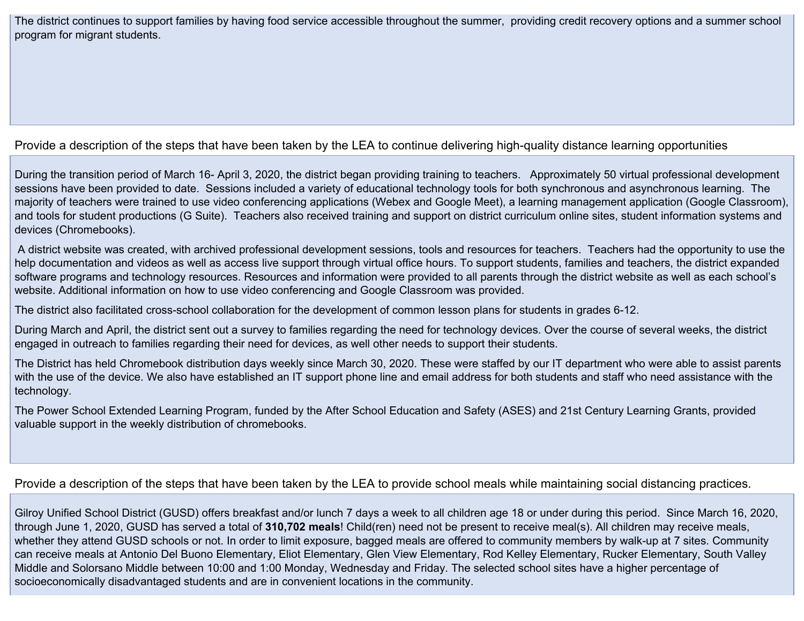The district continues to support families by having food service accessible throughout the summer, providing credit recovery options and a summer school program for migrant students.

## Provide a description of the steps that have been taken by the LEA to continue delivering high-quality distance learning opportunities

During the transition period of March 16- April 3, 2020, the district began providing training to teachers. Approximately 50 virtual professional development sessions have been provided to date. Sessions included a variety of educational technology tools for both synchronous and asynchronous learning. The majority of teachers were trained to use video conferencing applications (Webex and Google Meet), a learning management application (Google Classroom), and tools for student productions (G Suite). Teachers also received training and support on district curriculum online sites, student information systems and devices (Chromebooks).

A district website was created, with archived professional development sessions, tools and resources for teachers. Teachers had the opportunity to use the help documentation and videos as well as access live support through virtual office hours. To support students, families and teachers, the district expanded software programs and technology resources. Resources and information were provided to all parents through the district website as well as each school's website. Additional information on how to use video conferencing and Google Classroom was provided.

The district also facilitated cross-school collaboration for the development of common lesson plans for students in grades 6-12.

During March and April, the district sent out a survey to families regarding the need for technology devices. Over the course of several weeks, the district engaged in outreach to families regarding their need for devices, as well other needs to support their students.

The District has held Chromebook distribution days weekly since March 30, 2020. These were staffed by our IT department who were able to assist parents with the use of the device. We also have established an IT support phone line and email address for both students and staff who need assistance with the technology.

The Power School Extended Learning Program, funded by the After School Education and Safety (ASES) and 21st Century Learning Grants, provided valuable support in the weekly distribution of chromebooks.

## Provide a description of the steps that have been taken by the LEA to provide school meals while maintaining social distancing practices.

Gilroy Unified School District (GUSD) offers breakfast and/or lunch 7 days a week to all children age 18 or under during this period. Since March 16, 2020, through June 1, 2020, GUSD has served a total of **310,702 meals**! Child(ren) need not be present to receive meal(s). All children may receive meals, whether they attend GUSD schools or not. In order to limit exposure, bagged meals are offered to community members by walk-up at 7 sites. Community can receive meals at Antonio Del Buono Elementary, Eliot Elementary, Glen View Elementary, Rod Kelley Elementary, Rucker Elementary, South Valley Middle and Solorsano Middle between 10:00 and 1:00 Monday, Wednesday and Friday. The selected school sites have a higher percentage of socioeconomically disadvantaged students and are in convenient locations in the community.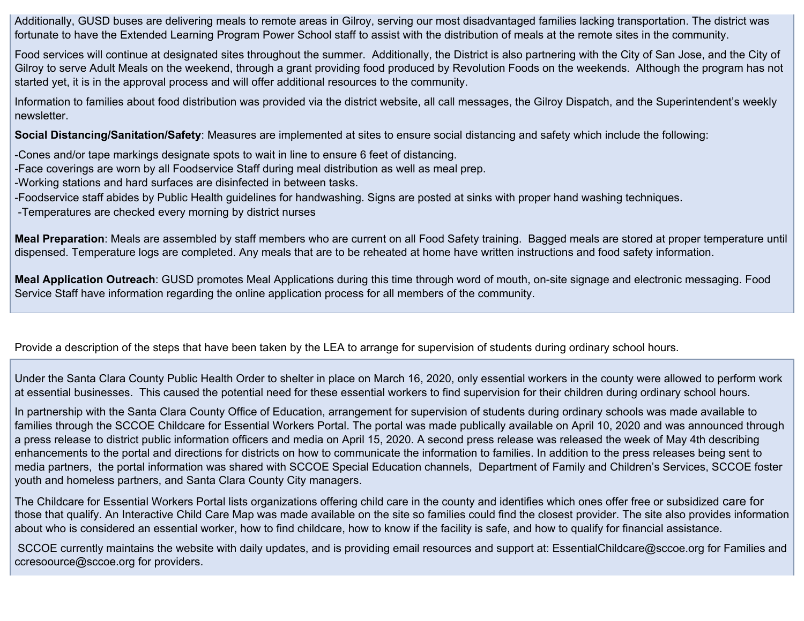Additionally, GUSD buses are delivering meals to remote areas in Gilroy, serving our most disadvantaged families lacking transportation. The district was fortunate to have the Extended Learning Program Power School staff to assist with the distribution of meals at the remote sites in the community.

Food services will continue at designated sites throughout the summer. Additionally, the District is also partnering with the City of San Jose, and the City of Gilroy to serve Adult Meals on the weekend, through a grant providing food produced by Revolution Foods on the weekends. Although the program has not started yet, it is in the approval process and will offer additional resources to the community.

Information to families about food distribution was provided via the district website, all call messages, the Gilroy Dispatch, and the Superintendent's weekly newsletter.

**Social Distancing/Sanitation/Safety**: Measures are implemented at sites to ensure social distancing and safety which include the following:

-Cones and/or tape markings designate spots to wait in line to ensure 6 feet of distancing.

-Face coverings are worn by all Foodservice Staff during meal distribution as well as meal prep.

-Working stations and hard surfaces are disinfected in between tasks.

-Foodservice staff abides by Public Health guidelines for handwashing. Signs are posted at sinks with proper hand washing techniques.

-Temperatures are checked every morning by district nurses

**Meal Preparation**: Meals are assembled by staff members who are current on all Food Safety training. Bagged meals are stored at proper temperature until dispensed. Temperature logs are completed. Any meals that are to be reheated at home have written instructions and food safety information.

**Meal Application Outreach**: GUSD promotes Meal Applications during this time through word of mouth, on-site signage and electronic messaging. Food Service Staff have information regarding the online application process for all members of the community.

Provide a description of the steps that have been taken by the LEA to arrange for supervision of students during ordinary school hours.

Under the Santa Clara County Public Health Order to shelter in place on March 16, 2020, only essential workers in the county were allowed to perform work at essential businesses. This caused the potential need for these essential workers to find supervision for their children during ordinary school hours.

In partnership with the Santa Clara County Office of Education, arrangement for supervision of students during ordinary schools was made available to families through the SCCOE Childcare for Essential Workers Portal. The portal was made publically available on April 10, 2020 and was announced through a press release to district public information officers and media on April 15, 2020. A second press release was released the week of May 4th describing enhancements to the portal and directions for districts on how to communicate the information to families. In addition to the press releases being sent to media partners, the portal information was shared with SCCOE Special Education channels, Department of Family and Children's Services, SCCOE foster youth and homeless partners, and Santa Clara County City managers.

The Childcare for Essential Workers Portal lists organizations offering child care in the county and identifies which ones offer free or subsidized care for those that qualify. An Interactive Child Care Map was made available on the site so families could find the closest provider. The site also provides information about who is considered an essential worker, how to find childcare, how to know if the facility is safe, and how to qualify for financial assistance.

SCCOE currently maintains the website with daily updates, and is providing email resources and support at: EssentialChildcare@sccoe.org for Families and ccresoource@sccoe.org for providers.